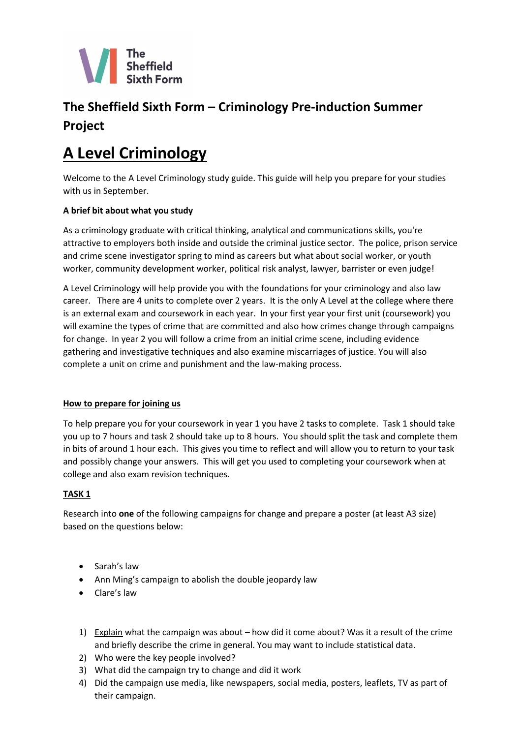

# **The Sheffield Sixth Form – Criminology Pre-induction Summer Project**

# **A Level Criminology**

Welcome to the A Level Criminology study guide. This guide will help you prepare for your studies with us in September.

## **A brief bit about what you study**

As a criminology graduate with critical thinking, analytical and communications skills, you're attractive to employers both inside and outside the criminal justice sector. The police, prison service and crime scene investigator spring to mind as careers but what about social worker, or youth worker, community development worker, political risk analyst, lawyer, barrister or even judge!

A Level Criminology will help provide you with the foundations for your criminology and also law career. There are 4 units to complete over 2 years. It is the only A Level at the college where there is an external exam and coursework in each year. In your first year your first unit (coursework) you will examine the types of crime that are committed and also how crimes change through campaigns for change. In year 2 you will follow a crime from an initial crime scene, including evidence gathering and investigative techniques and also examine miscarriages of justice. You will also complete a unit on crime and punishment and the law-making process.

### **How to prepare for joining us**

To help prepare you for your coursework in year 1 you have 2 tasks to complete. Task 1 should take you up to 7 hours and task 2 should take up to 8 hours. You should split the task and complete them in bits of around 1 hour each. This gives you time to reflect and will allow you to return to your task and possibly change your answers. This will get you used to completing your coursework when at college and also exam revision techniques.

### **TASK 1**

Research into **one** of the following campaigns for change and prepare a poster (at least A3 size) based on the questions below:

- Sarah's law
- Ann Ming's campaign to abolish the double jeopardy law
- Clare's law
- 1) Explain what the campaign was about how did it come about? Was it a result of the crime and briefly describe the crime in general. You may want to include statistical data.
- 2) Who were the key people involved?
- 3) What did the campaign try to change and did it work
- 4) Did the campaign use media, like newspapers, social media, posters, leaflets, TV as part of their campaign.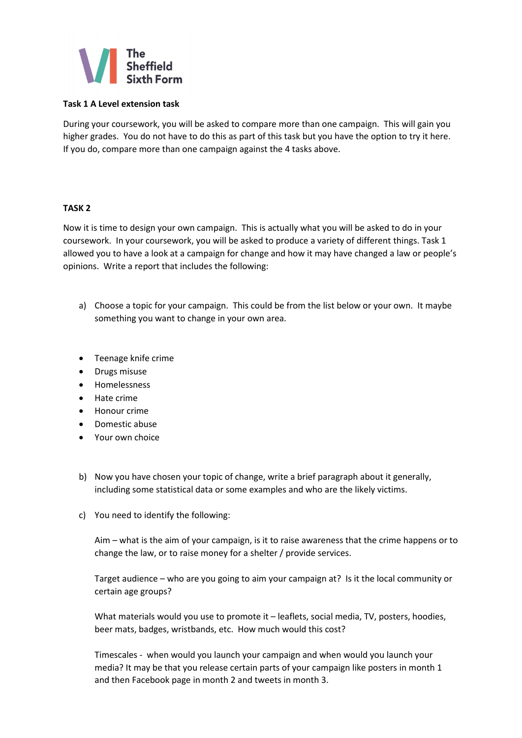

#### **Task 1 A Level extension task**

During your coursework, you will be asked to compare more than one campaign. This will gain you higher grades. You do not have to do this as part of this task but you have the option to try it here. If you do, compare more than one campaign against the 4 tasks above.

#### **TASK 2**

Now it is time to design your own campaign. This is actually what you will be asked to do in your coursework. In your coursework, you will be asked to produce a variety of different things. Task 1 allowed you to have a look at a campaign for change and how it may have changed a law or people's opinions. Write a report that includes the following:

- a) Choose a topic for your campaign. This could be from the list below or your own. It maybe something you want to change in your own area.
- Teenage knife crime
- Drugs misuse
- Homelessness
- Hate crime
- Honour crime
- Domestic abuse
- Your own choice
- b) Now you have chosen your topic of change, write a brief paragraph about it generally, including some statistical data or some examples and who are the likely victims.
- c) You need to identify the following:

Aim – what is the aim of your campaign, is it to raise awareness that the crime happens or to change the law, or to raise money for a shelter / provide services.

Target audience – who are you going to aim your campaign at? Is it the local community or certain age groups?

What materials would you use to promote it – leaflets, social media, TV, posters, hoodies, beer mats, badges, wristbands, etc. How much would this cost?

Timescales - when would you launch your campaign and when would you launch your media? It may be that you release certain parts of your campaign like posters in month 1 and then Facebook page in month 2 and tweets in month 3.